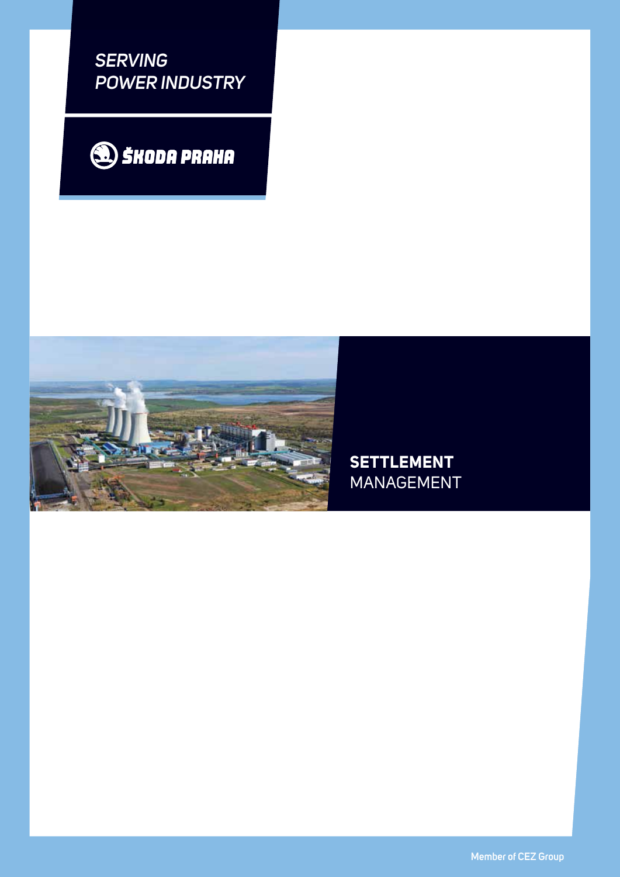*SERVING POWER INDUSTRY*





**settlement** management

**Member of CEZ Group**